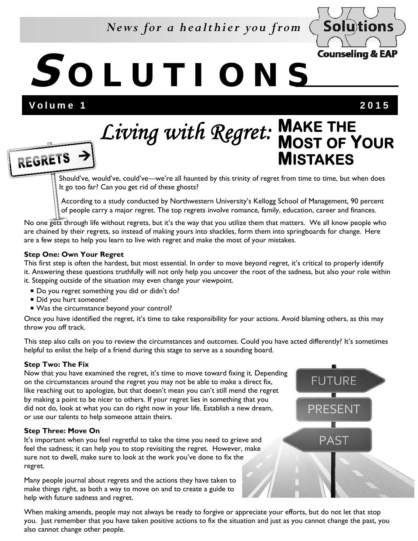## *News for a healthier you from*



## **S OLUTIONS**

Volume 1 2015

REGRETS ->

# **MAKE THE MOST OF YOUR MISTAKES** *Living with Regret:*

 Should've, would've, could've—we're all haunted by this trinity of regret from time to time, but when does It go too far? Can you get rid of these ghosts?

 According to a study conducted by Northwestern University's Kellogg School of Management, 90 percent of people carry a major regret. The top regrets involve romance, family, education, career and finances.

No one gets through life without regrets, but it's the way that you utilize them that matters. We all know people who are chained by their regrets, so instead of making yours into shackles, form them into springboards for change. Here are a few steps to help you learn to live with regret and make the most of your mistakes.

## **Step One: Own Your Regret**

This first step is often the hardest, but most essential. In order to move beyond regret, it's critical to properly identify it. Answering these questions truthfully will not only help you uncover the root of the sadness, but also your role within it. Stepping outside of the situation may even change your viewpoint.

- Do you regret something you did or didn't do?
- Did you hurt someone?
- Was the circumstance beyond your control?

Once you have identified the regret, it's time to take responsibility for your actions. Avoid blaming others, as this may throw you off track.

This step also calls on you to review the circumstances and outcomes. Could you have acted differently? It's sometimes helpful to enlist the help of a friend during this stage to serve as a sounding board.

## **Step Two: The Fix**

Now that you have examined the regret, it's time to move toward fixing it. Depending on the circumstances around the regret you may not be able to make a direct fix, like reaching out to apologize, but that doesn't mean you can't still mend the regret by making a point to be nicer to others. If your regret lies in something that you did not do, look at what you can do right now in your life. Establish a new dream, or use our talents to help someone attain theirs.

## **Step Three: Move On**

It's important when you feel regretful to take the time you need to grieve and feel the sadness; it can help you to stop revisiting the regret. However, make sure not to dwell, make sure to look at the work you've done to fix the regret.

Many people journal about regrets and the actions they have taken to make things right, as both a way to move on and to create a guide to help with future sadness and regret.

When making amends, people may not always be ready to forgive or appreciate your efforts, but do not let that stop you. Just remember that you have taken positive actions to fix the situation and just as you cannot change the past, you also cannot change other people.